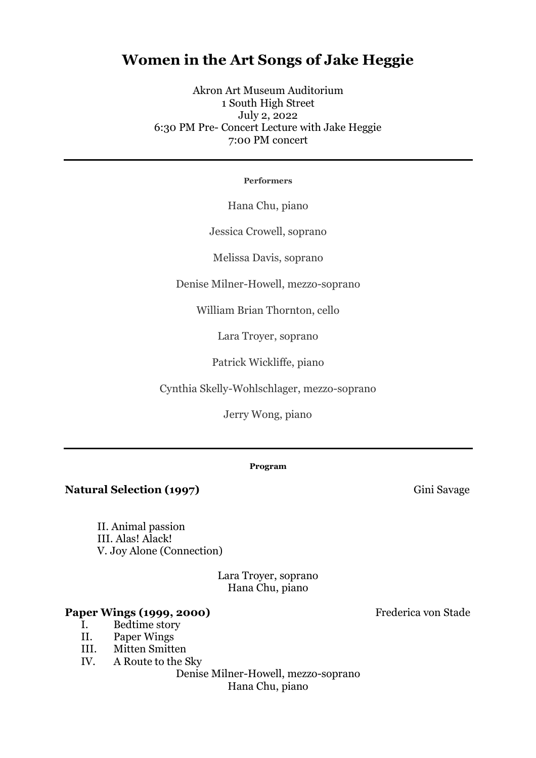# **Women in the Art Songs of Jake Heggie**

Akron Art Museum Auditorium 1 South High Street July 2, 2022 6:30 PM Pre- Concert Lecture with Jake Heggie 7:00 PM concert

#### **Performers**

Hana Chu, piano

Jessica Crowell, soprano

Melissa Davis, soprano

Denise Milner-Howell, mezzo-soprano

William Brian Thornton, cello

Lara Troyer, soprano

Patrick Wickliffe, piano

Cynthia Skelly-Wohlschlager, mezzo-soprano

Jerry Wong, piano

#### **Program**

**Natural Selection (1997)** Gini Savage

II. Animal passion III. Alas! Alack! V. Joy Alone (Connection)

> Lara Troyer, soprano Hana Chu, piano

### Paper Wings (1999, 2000) Frederica von Stade

- I. Bedtime story
- II. Paper Wings
- III. Mitten Smitten
- IV. A Route to the Sky

Denise Milner-Howell, mezzo-soprano Hana Chu, piano